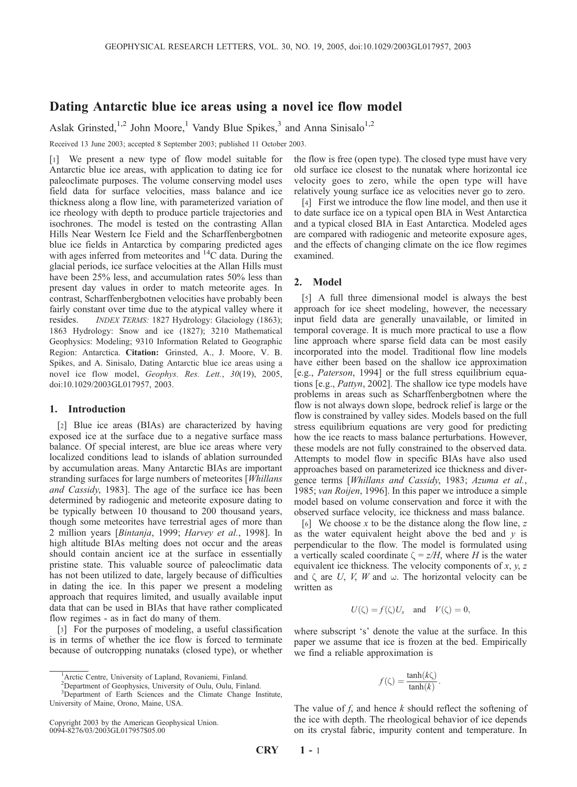# Dating Antarctic blue ice areas using a novel ice flow model

Aslak Grinsted,<sup>1,2</sup> John Moore,<sup>1</sup> Vandy Blue Spikes,<sup>3</sup> and Anna Sinisalo<sup>1,2</sup>

Received 13 June 2003; accepted 8 September 2003; published 11 October 2003.

[1] We present a new type of flow model suitable for Antarctic blue ice areas, with application to dating ice for paleoclimate purposes. The volume conserving model uses field data for surface velocities, mass balance and ice thickness along a flow line, with parameterized variation of ice rheology with depth to produce particle trajectories and isochrones. The model is tested on the contrasting Allan Hills Near Western Ice Field and the Scharffenbergbotnen blue ice fields in Antarctica by comparing predicted ages with ages inferred from meteorites and <sup>14</sup>C data. During the glacial periods, ice surface velocities at the Allan Hills must have been 25% less, and accumulation rates 50% less than present day values in order to match meteorite ages. In contrast, Scharffenbergbotnen velocities have probably been fairly constant over time due to the atypical valley where it resides. *INDEX TERMS*: 1827 Hydrology: Glaciology (1863); 1863 Hydrology: Snow and ice (1827); 3210 Mathematical Geophysics: Modeling; 9310 Information Related to Geographic Region: Antarctica. Citation: Grinsted, A., J. Moore, V. B. Spikes, and A. Sinisalo, Dating Antarctic blue ice areas using a novel ice flow model, Geophys. Res. Lett., 30(19), 2005, doi:10.1029/2003GL017957, 2003.

#### 1. Introduction

[2] Blue ice areas (BIAs) are characterized by having exposed ice at the surface due to a negative surface mass balance. Of special interest, are blue ice areas where very localized conditions lead to islands of ablation surrounded by accumulation areas. Many Antarctic BIAs are important stranding surfaces for large numbers of meteorites [Whillans and Cassidy, 1983]. The age of the surface ice has been determined by radiogenic and meteorite exposure dating to be typically between 10 thousand to 200 thousand years, though some meteorites have terrestrial ages of more than 2 million years [Bintanja, 1999; Harvey et al., 1998]. In high altitude BIAs melting does not occur and the areas should contain ancient ice at the surface in essentially pristine state. This valuable source of paleoclimatic data has not been utilized to date, largely because of difficulties in dating the ice. In this paper we present a modeling approach that requires limited, and usually available input data that can be used in BIAs that have rather complicated flow regimes - as in fact do many of them.

[3] For the purposes of modeling, a useful classification is in terms of whether the ice flow is forced to terminate because of outcropping nunataks (closed type), or whether

<sup>2</sup>Department of Geophysics, University of Oulu, Oulu, Finland.

the flow is free (open type). The closed type must have very old surface ice closest to the nunatak where horizontal ice velocity goes to zero, while the open type will have relatively young surface ice as velocities never go to zero.

[4] First we introduce the flow line model, and then use it to date surface ice on a typical open BIA in West Antarctica and a typical closed BIA in East Antarctica. Modeled ages are compared with radiogenic and meteorite exposure ages, and the effects of changing climate on the ice flow regimes examined.

#### 2. Model

[5] A full three dimensional model is always the best approach for ice sheet modeling, however, the necessary input field data are generally unavailable, or limited in temporal coverage. It is much more practical to use a flow line approach where sparse field data can be most easily incorporated into the model. Traditional flow line models have either been based on the shallow ice approximation [e.g., Paterson, 1994] or the full stress equilibrium equations [e.g., Pattyn, 2002]. The shallow ice type models have problems in areas such as Scharffenbergbotnen where the flow is not always down slope, bedrock relief is large or the flow is constrained by valley sides. Models based on the full stress equilibrium equations are very good for predicting how the ice reacts to mass balance perturbations. However, these models are not fully constrained to the observed data. Attempts to model flow in specific BIAs have also used approaches based on parameterized ice thickness and divergence terms [Whillans and Cassidy, 1983; Azuma et al., 1985; van Roijen, 1996]. In this paper we introduce a simple model based on volume conservation and force it with the observed surface velocity, ice thickness and mass balance.

[6] We choose x to be the distance along the flow line, z as the water equivalent height above the bed and  $y$  is perpendicular to the flow. The model is formulated using a vertically scaled coordinate  $\zeta = z/H$ , where H is the water equivalent ice thickness. The velocity components of  $x, y, z$ and  $\zeta$  are U, V, W and  $\omega$ . The horizontal velocity can be written as

$$
U(\zeta) = f(\zeta)U_s \quad \text{and} \quad V(\zeta) = 0,
$$

where subscript 's' denote the value at the surface. In this paper we assume that ice is frozen at the bed. Empirically we find a reliable approximation is

$$
f(\zeta) = \frac{\tanh(k\zeta)}{\tanh(k)}.
$$

The value of  $f$ , and hence  $k$  should reflect the softening of the ice with depth. The rheological behavior of ice depends on its crystal fabric, impurity content and temperature. In

<sup>&</sup>lt;sup>1</sup> Arctic Centre, University of Lapland, Rovaniemi, Finland.

<sup>&</sup>lt;sup>3</sup>Department of Earth Sciences and the Climate Change Institute, University of Maine, Orono, Maine, USA.

Copyright 2003 by the American Geophysical Union. 0094-8276/03/2003GL017957\$05.00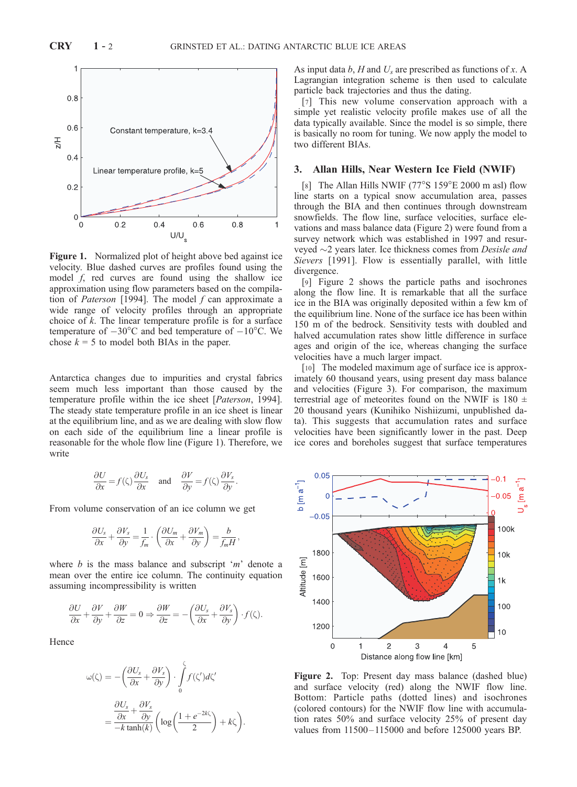

Figure 1. Normalized plot of height above bed against ice velocity. Blue dashed curves are profiles found using the model f, red curves are found using the shallow ice approximation using flow parameters based on the compilation of *Paterson* [1994]. The model  $f$  can approximate a wide range of velocity profiles through an appropriate choice of  $k$ . The linear temperature profile is for a surface temperature of  $-30^{\circ}$ C and bed temperature of  $-10^{\circ}$ C. We chose  $k = 5$  to model both BIAs in the paper.

Antarctica changes due to impurities and crystal fabrics seem much less important than those caused by the temperature profile within the ice sheet [Paterson, 1994]. The steady state temperature profile in an ice sheet is linear at the equilibrium line, and as we are dealing with slow flow on each side of the equilibrium line a linear profile is reasonable for the whole flow line (Figure 1). Therefore, we write

$$
\frac{\partial U}{\partial x} = f(\zeta) \frac{\partial U_s}{\partial x} \quad \text{and} \quad \frac{\partial V}{\partial y} = f(\zeta) \frac{\partial V_s}{\partial y}.
$$

From volume conservation of an ice column we get

$$
\frac{\partial U_s}{\partial x} + \frac{\partial V_s}{\partial y} = \frac{1}{f_m} \cdot \left( \frac{\partial U_m}{\partial x} + \frac{\partial V_m}{\partial y} \right) = \frac{b}{f_m H},
$$

where  $b$  is the mass balance and subscript 'm' denote a mean over the entire ice column. The continuity equation assuming incompressibility is written

$$
\frac{\partial U}{\partial x} + \frac{\partial V}{\partial y} + \frac{\partial W}{\partial z} = 0 \Rightarrow \frac{\partial W}{\partial z} = -\left(\frac{\partial U_s}{\partial x} + \frac{\partial V_s}{\partial y}\right) \cdot f(\zeta).
$$

Hence

$$
\omega(\zeta) = -\left(\frac{\partial U_s}{\partial x} + \frac{\partial V_s}{\partial y}\right) \cdot \int_0^{\zeta} f(\zeta') d\zeta'
$$

$$
= \frac{\partial U_s}{\partial x} + \frac{\partial V_s}{\partial y} \left(\log\left(\frac{1 + e^{-2k\zeta}}{2}\right) + k\zeta\right).
$$

As input data b, H and  $U_s$  are prescribed as functions of x. A Lagrangian integration scheme is then used to calculate particle back trajectories and thus the dating.

[7] This new volume conservation approach with a simple yet realistic velocity profile makes use of all the data typically available. Since the model is so simple, there is basically no room for tuning. We now apply the model to two different BIAs.

#### 3. Allan Hills, Near Western Ice Field (NWIF)

[8] The Allan Hills NWIF (77 $\degree$ S 159 $\degree$ E 2000 m asl) flow line starts on a typical snow accumulation area, passes through the BIA and then continues through downstream snowfields. The flow line, surface velocities, surface elevations and mass balance data (Figure 2) were found from a survey network which was established in 1997 and resurveyed  $\sim$ 2 years later. Ice thickness comes from *Desisle and* Sievers [1991]. Flow is essentially parallel, with little divergence.

[9] Figure 2 shows the particle paths and isochrones along the flow line. It is remarkable that all the surface ice in the BIA was originally deposited within a few km of the equilibrium line. None of the surface ice has been within 150 m of the bedrock. Sensitivity tests with doubled and halved accumulation rates show little difference in surface ages and origin of the ice, whereas changing the surface velocities have a much larger impact.

[10] The modeled maximum age of surface ice is approximately 60 thousand years, using present day mass balance and velocities (Figure 3). For comparison, the maximum terrestrial age of meteorites found on the NWIF is 180  $\pm$ 20 thousand years (Kunihiko Nishiizumi, unpublished data). This suggests that accumulation rates and surface velocities have been significantly lower in the past. Deep ice cores and boreholes suggest that surface temperatures



Figure 2. Top: Present day mass balance (dashed blue) and surface velocity (red) along the NWIF flow line. Bottom: Particle paths (dotted lines) and isochrones (colored contours) for the NWIF flow line with accumulation rates 50% and surface velocity 25% of present day values from 11500-115000 and before 125000 years BP.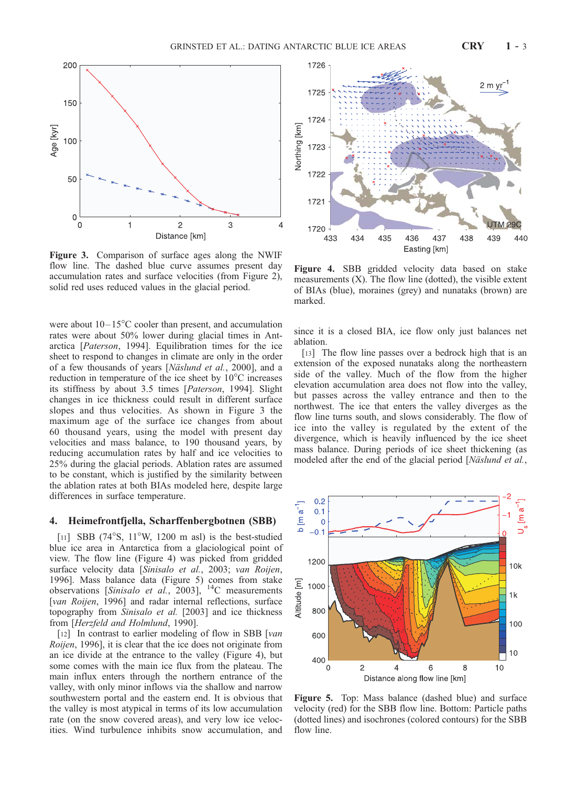

Figure 3. Comparison of surface ages along the NWIF flow line. The dashed blue curve assumes present day accumulation rates and surface velocities (from Figure 2), solid red uses reduced values in the glacial period.

were about  $10-15^{\circ}$ C cooler than present, and accumulation rates were about 50% lower during glacial times in Antarctica [Paterson, 1994]. Equilibration times for the ice sheet to respond to changes in climate are only in the order of a few thousands of years [Näslund et al., 2000], and a reduction in temperature of the ice sheet by  $10^{\circ}$ C increases its stiffness by about 3.5 times [Paterson, 1994]. Slight changes in ice thickness could result in different surface slopes and thus velocities. As shown in Figure 3 the maximum age of the surface ice changes from about 60 thousand years, using the model with present day velocities and mass balance, to 190 thousand years, by reducing accumulation rates by half and ice velocities to 25% during the glacial periods. Ablation rates are assumed to be constant, which is justified by the similarity between the ablation rates at both BIAs modeled here, despite large differences in surface temperature.

### 4. Heimefrontfjella, Scharffenbergbotnen (SBB)

[11] SBB (74 $\textdegree$ S, 11 $\textdegree$ W, 1200 m asl) is the best-studied blue ice area in Antarctica from a glaciological point of view. The flow line (Figure 4) was picked from gridded surface velocity data [Sinisalo et al., 2003; van Roijen, 1996]. Mass balance data (Figure 5) comes from stake observations [Sinisalo et al., 2003],  $^{14}$ C measurements [van Roijen, 1996] and radar internal reflections, surface topography from Sinisalo et al. [2003] and ice thickness from [Herzfeld and Holmlund, 1990].

[12] In contrast to earlier modeling of flow in SBB [van Roijen, 1996], it is clear that the ice does not originate from an ice divide at the entrance to the valley (Figure 4), but some comes with the main ice flux from the plateau. The main influx enters through the northern entrance of the valley, with only minor inflows via the shallow and narrow southwestern portal and the eastern end. It is obvious that the valley is most atypical in terms of its low accumulation rate (on the snow covered areas), and very low ice velocities. Wind turbulence inhibits snow accumulation, and



Figure 4. SBB gridded velocity data based on stake measurements (X). The flow line (dotted), the visible extent of BIAs (blue), moraines (grey) and nunataks (brown) are marked.

since it is a closed BIA, ice flow only just balances net ablation.

[13] The flow line passes over a bedrock high that is an extension of the exposed nunataks along the northeastern side of the valley. Much of the flow from the higher elevation accumulation area does not flow into the valley, but passes across the valley entrance and then to the northwest. The ice that enters the valley diverges as the flow line turns south, and slows considerably. The flow of ice into the valley is regulated by the extent of the divergence, which is heavily influenced by the ice sheet mass balance. During periods of ice sheet thickening (as modeled after the end of the glacial period [Näslund et al.,



Figure 5. Top: Mass balance (dashed blue) and surface velocity (red) for the SBB flow line. Bottom: Particle paths (dotted lines) and isochrones (colored contours) for the SBB flow line.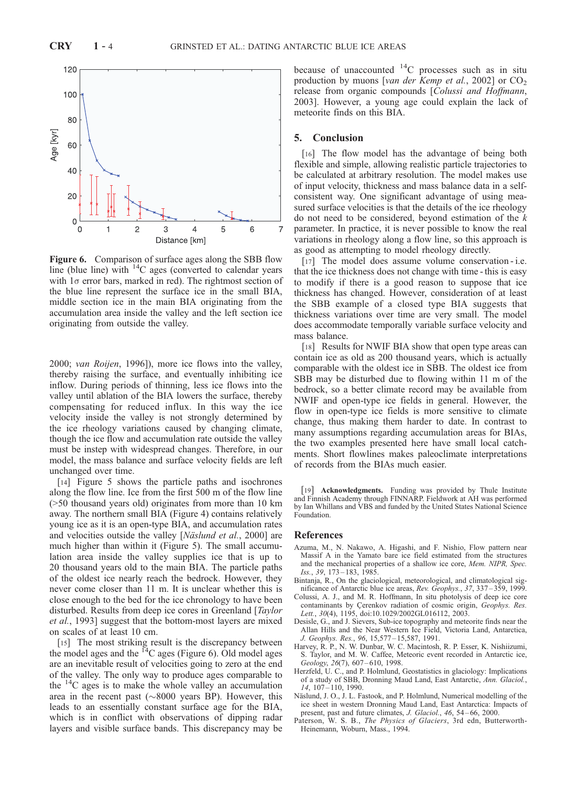

Figure 6. Comparison of surface ages along the SBB flow line (blue line) with  $^{14}$ C ages (converted to calendar years with  $1\sigma$  error bars, marked in red). The rightmost section of the blue line represent the surface ice in the small BIA, middle section ice in the main BIA originating from the accumulation area inside the valley and the left section ice originating from outside the valley.

2000; van Roijen, 1996]), more ice flows into the valley, thereby raising the surface, and eventually inhibiting ice inflow. During periods of thinning, less ice flows into the valley until ablation of the BIA lowers the surface, thereby compensating for reduced influx. In this way the ice velocity inside the valley is not strongly determined by the ice rheology variations caused by changing climate, though the ice flow and accumulation rate outside the valley must be instep with widespread changes. Therefore, in our model, the mass balance and surface velocity fields are left unchanged over time.

[14] Figure 5 shows the particle paths and isochrones along the flow line. Ice from the first 500 m of the flow line (>50 thousand years old) originates from more than 10 km away. The northern small BIA (Figure 4) contains relatively young ice as it is an open-type BIA, and accumulation rates and velocities outside the valley [Näslund et al., 2000] are much higher than within it (Figure 5). The small accumulation area inside the valley supplies ice that is up to 20 thousand years old to the main BIA. The particle paths of the oldest ice nearly reach the bedrock. However, they never come closer than 11 m. It is unclear whether this is close enough to the bed for the ice chronology to have been disturbed. Results from deep ice cores in Greenland [*Taylor* et al., 1993] suggest that the bottom-most layers are mixed on scales of at least 10 cm.

[15] The most striking result is the discrepancy between the model ages and the  $^{14}$ C ages (Figure 6). Old model ages are an inevitable result of velocities going to zero at the end of the valley. The only way to produce ages comparable to the  $14C$  ages is to make the whole valley an accumulation area in the recent past  $(\sim 8000$  years BP). However, this leads to an essentially constant surface age for the BIA, which is in conflict with observations of dipping radar layers and visible surface bands. This discrepancy may be

because of unaccounted  $^{14}$ C processes such as in situ production by muons [van der Kemp et al., 2002] or  $CO<sub>2</sub>$ release from organic compounds [Colussi and Hoffmann, 2003]. However, a young age could explain the lack of meteorite finds on this BIA.

## 5. Conclusion

[16] The flow model has the advantage of being both flexible and simple, allowing realistic particle trajectories to be calculated at arbitrary resolution. The model makes use of input velocity, thickness and mass balance data in a selfconsistent way. One significant advantage of using measured surface velocities is that the details of the ice rheology do not need to be considered, beyond estimation of the  $k$ parameter. In practice, it is never possible to know the real variations in rheology along a flow line, so this approach is as good as attempting to model rheology directly.

[17] The model does assume volume conservation - i.e. that the ice thickness does not change with time - this is easy to modify if there is a good reason to suppose that ice thickness has changed. However, consideration of at least the SBB example of a closed type BIA suggests that thickness variations over time are very small. The model does accommodate temporally variable surface velocity and mass balance.

[18] Results for NWIF BIA show that open type areas can contain ice as old as 200 thousand years, which is actually comparable with the oldest ice in SBB. The oldest ice from SBB may be disturbed due to flowing within 11 m of the bedrock, so a better climate record may be available from NWIF and open-type ice fields in general. However, the flow in open-type ice fields is more sensitive to climate change, thus making them harder to date. In contrast to many assumptions regarding accumulation areas for BIAs, the two examples presented here have small local catchments. Short flowlines makes paleoclimate interpretations of records from the BIAs much easier.

[19] Acknowledgments. Funding was provided by Thule Institute and Finnish Academy through FINNARP. Fieldwork at AH was performed by Ian Whillans and VBS and funded by the United States National Science Foundation.

#### References

- Azuma, M., N. Nakawo, A. Higashi, and F. Nishio, Flow pattern near Massif A in the Yamato bare ice field estimated from the structures and the mechanical properties of a shallow ice core, Mem. NIPR, Spec.  $Iss.$ , 39, 173 – 183, 1985.
- Bintanja, R., On the glaciological, meteorological, and climatological significance of Antarctic blue ice areas, Rev. Geophys., 37, 337 – 359, 1999.
- Colussi, A. J., and M. R. Hoffmann, In situ photolysis of deep ice core contaminants by Çerenkov radiation of cosmic origin, Geophys. Res. Lett.,  $30(4)$ ,  $1195$ , doi:10.1029/2002GL016112, 2003.
- Desisle, G., and J. Sievers, Sub-ice topography and meteorite finds near the Allan Hills and the Near Western Ice Field, Victoria Land, Antarctica, J. Geophys. Res., 96, 15,577 – 15,587, 1991.
- Harvey, R. P., N. W. Dunbar, W. C. Macintosh, R. P. Esser, K. Nishiizumi, S. Taylor, and M. W. Caffee, Meteoric event recorded in Antarctic ice, Geology, 26(7), 607-610, 1998.
- Herzfeld, U. C., and P. Holmlund, Geostatistics in glaciology: Implications of a study of SBB, Dronning Maud Land, East Antarctic, Ann. Glaciol., 14, 107 – 110, 1990.
- Näslund, J. O., J. L. Fastook, and P. Holmlund, Numerical modelling of the ice sheet in western Dronning Maud Land, East Antarctica: Impacts of present, past and future climates, J. Glaciol., 46, 54-66, 2000.
- Paterson, W. S. B., The Physics of Glaciers, 3rd edn, Butterworth-Heinemann, Woburn, Mass., 1994.